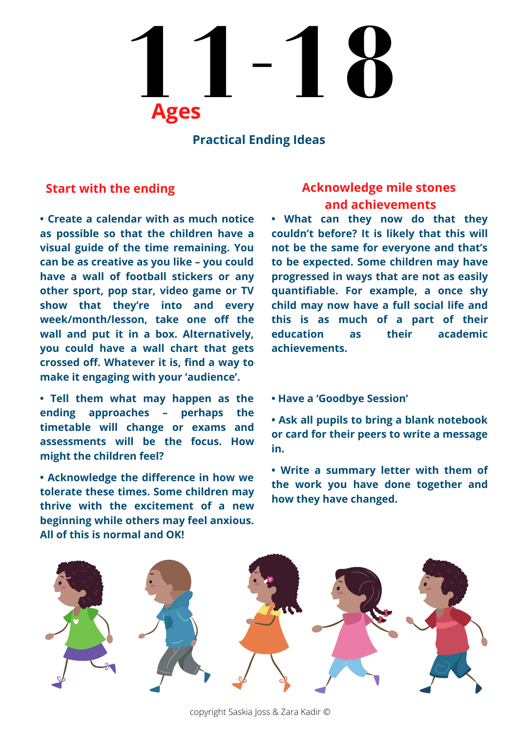# **11-18 Ages**

#### **Practical Ending Ideas**

**• Create a calendar with as much notice as possible so that the children have a visual guide of the time remaining. You can be as creative as you like – you could have a wall of football stickers or any other sport, pop star, video game or TV show that they're into and every week/month/lesson, take one off the wall and put it in a box. Alternatively, you could have a wall chart that gets crossed off. Whatever it is, find a way to make it engaging with your 'audience'.**

**• Tell them what may happen as the ending approaches – perhaps the timetable will change or exams and assessments will be the focus. How might the children feel?**

**• Acknowledge the difference in how we tolerate these times. Some children may thrive with the excitement of a new beginning while others may feel anxious. All of this is normal and OK!**

### **Start with the ending Acknowledge mile stones and achievements**

**• What can they now do that they couldn't before? It is likely that this will not be the same for everyone and that's to be expected. Some children may have progressed in ways that are not as easily quantifiable. For example, a once shy child may now have a full social life and this is as much of a part of their education as their academic achievements.**

**• Have a 'Goodbye Session'**

**• Ask all pupils to bring a blank notebook or card for their peers to write a message in.**

**• Write a summary letter with them of the work you have done together and how they have changed.**

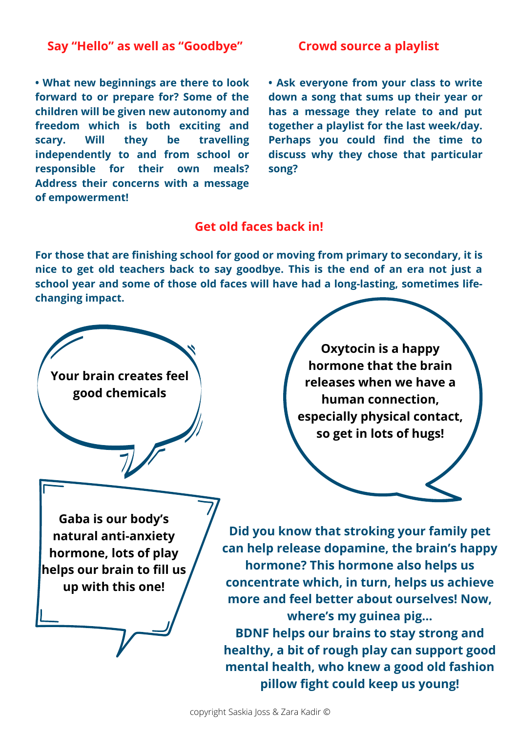#### **Say "Hello" as well as "Goodbye"**

**• What new beginnings are there to look forward to or prepare for? Some of the children will be given new autonomy and freedom which is both exciting and scary. Will they be travelling independently to and from school or responsible for their own meals? Address their concerns with a message of empowerment!**

#### **Crowd source a playlist**

**• Ask everyone from your class to write down a song that sums up their year or has a message they relate to and put together a playlist for the last week/day. Perhaps you could find the time to discuss why they chose that particular song?**

#### **Get old faces back in!**

**For those that are finishing school for good or moving from primary to secondary, it is nice to get old teachers back to say goodbye. This is the end of an era not just a school year and some of those old faces will have had a long-lasting, sometimes lifechanging impact.**

**Your brain creates feel good chemicals**

**Gaba is our body's natural anti-anxiety hormone, lots of play helps our brain to fill us up with this one!**

**Oxytocin is a happy hormone that the brain releases when we have a human connection, especially physical contact, so get in lots of hugs!**

**Did you know that stroking your family pet can help release dopamine, the brain's happy hormone? This hormone also helps us concentrate which, in turn, helps us achieve more and feel better about ourselves! Now, where's my guinea pig… BDNF helps our brains to stay strong and healthy, a bit of rough play can support good mental health, who knew a good old fashion**

**pillow fight could keep us young!**